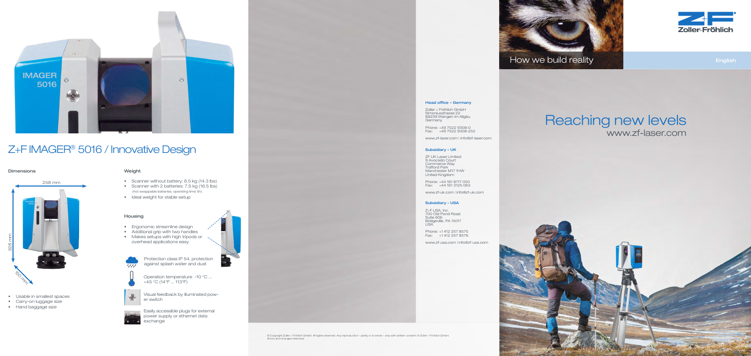



**English** 

Zoller + Fröhlich GmbH Simoniusstrasse 22 88239 Wangen im Allgäu **Germany** 

# Head office – Germany

Phone: +49 7522 9308-0 Fax: +49 7522 9308-252

www.zf-laser.com | info@zf-laser.com

#### Subsidiary – UK

ZF UK Laser Limited 9 Avocado Court Commerce Way Trafford Park Manchester M17 1HW United Kingdom

Phone: +44 161 8717 050 Fax: +44 161 3125 063

www.zf-uk.com | info@zf-uk.com

### Subsidiary – USA

• Usable in smallest spaces • Carry-on luggage size • Hand baggage size

Z+F USA, Inc. 700 Old Pond Road Suite 606 Bridgeville, PA 15017 USA

Phone: +1 412 257 8575 Fax: +1 412 257 8576

www.zf-usa.com | info@zf-usa.com

- 
- Scanner without battery: 6.5 kg (14.3 lbs)
- Scanner with 2 batteries: 7.5 kg (16.5 lbs) (hot swappable batteries, operating time 5h)
- Ideal weight for stable setup

Protection class IP 54, protection against splash water and dust  $\overline{\phantom{a} \phantom{a} \phantom{a} \phantom{a} \phantom{a} \phantom{a} \phantom{a} \phantom{a} \phantom{a} \phantom{a} \phantom{a} \phantom{a} \phantom{a} \phantom{a} \phantom{a} \phantom{a} \phantom{a} \phantom{a} \phantom{a} \phantom{a} \phantom{a} \phantom{a} \phantom{a} \phantom{a} \phantom{a} \phantom{a} \phantom{a}$ 



Operation temperature -10 °C ... +45 °C (14°F ... 113°F)





# Z+F IMAGER® 5016 / Innovative Design

# Reaching new levels www.zf-laser.com





# Dimensions Weight

# Housing

- Ergonomic streamline design
- Additional grip with two handles
- Makes setups with high tripods or overhead applications easy

Visual feedback by illuminated pow-



er switch



Easily accessible plugs for external power supply or ethernet data exchange